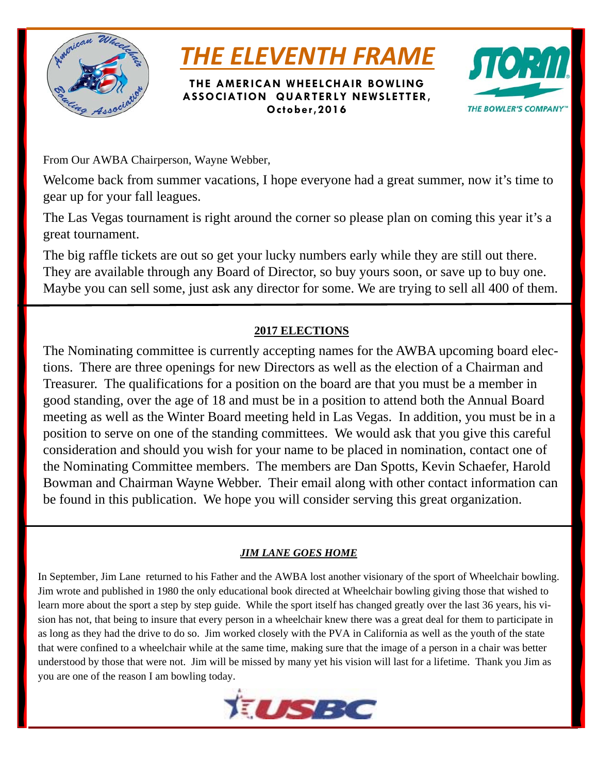

# *THE ELEVENTH FRAME*

**THE AMERICAN WHEELCHAIR BOWLING ASSOCIATION QUARTERLY NEWSLETTER, October,2016** 



From Our AWBA Chairperson, Wayne Webber,

Welcome back from summer vacations, I hope everyone had a great summer, now it's time to gear up for your fall leagues.

The Las Vegas tournament is right around the corner so please plan on coming this year it's a great tournament.

The big raffle tickets are out so get your lucky numbers early while they are still out there. They are available through any Board of Director, so buy yours soon, or save up to buy one. Maybe you can sell some, just ask any director for some. We are trying to sell all 400 of them.

## **2017 ELECTIONS**

The Nominating committee is currently accepting names for the AWBA upcoming board elections. There are three openings for new Directors as well as the election of a Chairman and Treasurer. The qualifications for a position on the board are that you must be a member in good standing, over the age of 18 and must be in a position to attend both the Annual Board meeting as well as the Winter Board meeting held in Las Vegas. In addition, you must be in a position to serve on one of the standing committees. We would ask that you give this careful consideration and should you wish for your name to be placed in nomination, contact one of the Nominating Committee members. The members are Dan Spotts, Kevin Schaefer, Harold Bowman and Chairman Wayne Webber. Their email along with other contact information can be found in this publication. We hope you will consider serving this great organization.

## *JIM LANE GOES HOME*

In September, Jim Lane returned to his Father and the AWBA lost another visionary of the sport of Wheelchair bowling. Jim wrote and published in 1980 the only educational book directed at Wheelchair bowling giving those that wished to learn more about the sport a step by step guide. While the sport itself has changed greatly over the last 36 years, his vision has not, that being to insure that every person in a wheelchair knew there was a great deal for them to participate in as long as they had the drive to do so. Jim worked closely with the PVA in California as well as the youth of the state that were confined to a wheelchair while at the same time, making sure that the image of a person in a chair was better understood by those that were not. Jim will be missed by many yet his vision will last for a lifetime. Thank you Jim as you are one of the reason I am bowling today.

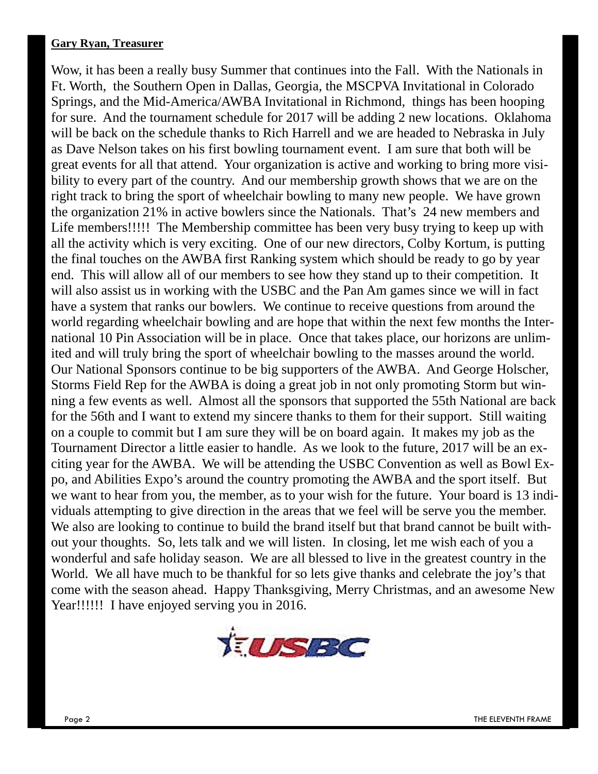#### **Gary Ryan, Treasurer**

Wow, it has been a really busy Summer that continues into the Fall. With the Nationals in Ft. Worth, the Southern Open in Dallas, Georgia, the MSCPVA Invitational in Colorado Springs, and the Mid-America/AWBA Invitational in Richmond, things has been hooping for sure. And the tournament schedule for 2017 will be adding 2 new locations. Oklahoma will be back on the schedule thanks to Rich Harrell and we are headed to Nebraska in July as Dave Nelson takes on his first bowling tournament event. I am sure that both will be great events for all that attend. Your organization is active and working to bring more visibility to every part of the country. And our membership growth shows that we are on the right track to bring the sport of wheelchair bowling to many new people. We have grown the organization 21% in active bowlers since the Nationals. That's 24 new members and Life members!!!!! The Membership committee has been very busy trying to keep up with all the activity which is very exciting. One of our new directors, Colby Kortum, is putting the final touches on the AWBA first Ranking system which should be ready to go by year end. This will allow all of our members to see how they stand up to their competition. It will also assist us in working with the USBC and the Pan Am games since we will in fact have a system that ranks our bowlers. We continue to receive questions from around the world regarding wheelchair bowling and are hope that within the next few months the International 10 Pin Association will be in place. Once that takes place, our horizons are unlimited and will truly bring the sport of wheelchair bowling to the masses around the world. Our National Sponsors continue to be big supporters of the AWBA. And George Holscher, Storms Field Rep for the AWBA is doing a great job in not only promoting Storm but winning a few events as well. Almost all the sponsors that supported the 55th National are back for the 56th and I want to extend my sincere thanks to them for their support. Still waiting on a couple to commit but I am sure they will be on board again. It makes my job as the Tournament Director a little easier to handle. As we look to the future, 2017 will be an exciting year for the AWBA. We will be attending the USBC Convention as well as Bowl Expo, and Abilities Expo's around the country promoting the AWBA and the sport itself. But we want to hear from you, the member, as to your wish for the future. Your board is 13 individuals attempting to give direction in the areas that we feel will be serve you the member. We also are looking to continue to build the brand itself but that brand cannot be built without your thoughts. So, lets talk and we will listen. In closing, let me wish each of you a wonderful and safe holiday season. We are all blessed to live in the greatest country in the World. We all have much to be thankful for so lets give thanks and celebrate the joy's that come with the season ahead. Happy Thanksgiving, Merry Christmas, and an awesome New Year!!!!!! I have enjoyed serving you in 2016.

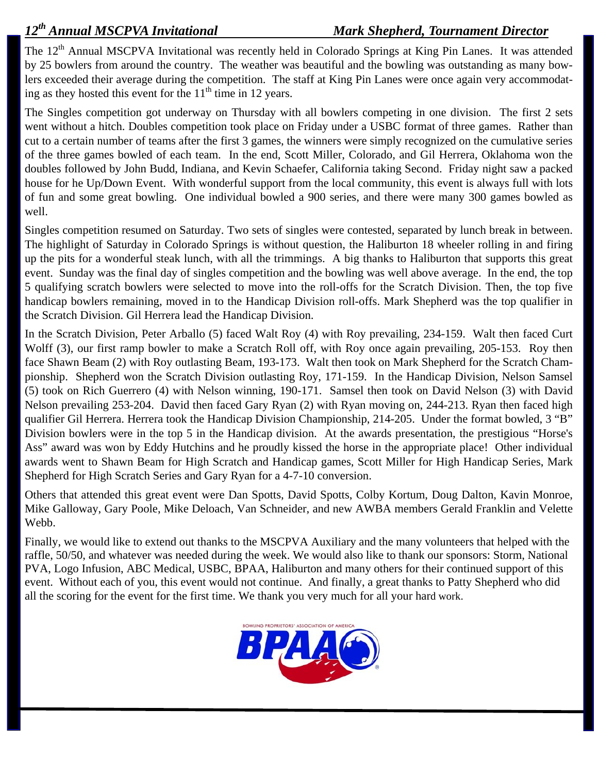The 12<sup>th</sup> Annual MSCPVA Invitational was recently held in Colorado Springs at King Pin Lanes. It was attended by 25 bowlers from around the country. The weather was beautiful and the bowling was outstanding as many bowlers exceeded their average during the competition. The staff at King Pin Lanes were once again very accommodating as they hosted this event for the  $11<sup>th</sup>$  time in 12 years.

The Singles competition got underway on Thursday with all bowlers competing in one division. The first 2 sets went without a hitch. Doubles competition took place on Friday under a USBC format of three games. Rather than cut to a certain number of teams after the first 3 games, the winners were simply recognized on the cumulative series of the three games bowled of each team. In the end, Scott Miller, Colorado, and Gil Herrera, Oklahoma won the doubles followed by John Budd, Indiana, and Kevin Schaefer, California taking Second. Friday night saw a packed house for he Up/Down Event. With wonderful support from the local community, this event is always full with lots of fun and some great bowling. One individual bowled a 900 series, and there were many 300 games bowled as well.

Singles competition resumed on Saturday. Two sets of singles were contested, separated by lunch break in between. The highlight of Saturday in Colorado Springs is without question, the Haliburton 18 wheeler rolling in and firing up the pits for a wonderful steak lunch, with all the trimmings. A big thanks to Haliburton that supports this great event. Sunday was the final day of singles competition and the bowling was well above average. In the end, the top 5 qualifying scratch bowlers were selected to move into the roll-offs for the Scratch Division. Then, the top five handicap bowlers remaining, moved in to the Handicap Division roll-offs. Mark Shepherd was the top qualifier in the Scratch Division. Gil Herrera lead the Handicap Division.

In the Scratch Division, Peter Arballo (5) faced Walt Roy (4) with Roy prevailing, 234-159. Walt then faced Curt Wolff (3), our first ramp bowler to make a Scratch Roll off, with Roy once again prevailing, 205-153. Roy then face Shawn Beam (2) with Roy outlasting Beam, 193-173. Walt then took on Mark Shepherd for the Scratch Championship. Shepherd won the Scratch Division outlasting Roy, 171-159. In the Handicap Division, Nelson Samsel (5) took on Rich Guerrero (4) with Nelson winning, 190-171. Samsel then took on David Nelson (3) with David Nelson prevailing 253-204. David then faced Gary Ryan (2) with Ryan moving on, 244-213. Ryan then faced high qualifier Gil Herrera. Herrera took the Handicap Division Championship, 214-205. Under the format bowled, 3 "B" Division bowlers were in the top 5 in the Handicap division. At the awards presentation, the prestigious "Horse's Ass" award was won by Eddy Hutchins and he proudly kissed the horse in the appropriate place! Other individual awards went to Shawn Beam for High Scratch and Handicap games, Scott Miller for High Handicap Series, Mark Shepherd for High Scratch Series and Gary Ryan for a 4-7-10 conversion.

Others that attended this great event were Dan Spotts, David Spotts, Colby Kortum, Doug Dalton, Kavin Monroe, Mike Galloway, Gary Poole, Mike Deloach, Van Schneider, and new AWBA members Gerald Franklin and Velette Webb.

Finally, we would like to extend out thanks to the MSCPVA Auxiliary and the many volunteers that helped with the raffle, 50/50, and whatever was needed during the week. We would also like to thank our sponsors: Storm, National PVA, Logo Infusion, ABC Medical, USBC, BPAA, Haliburton and many others for their continued support of this event. Without each of you, this event would not continue. And finally, a great thanks to Patty Shepherd who did all the scoring for the event for the first time. We thank you very much for all your hard work.

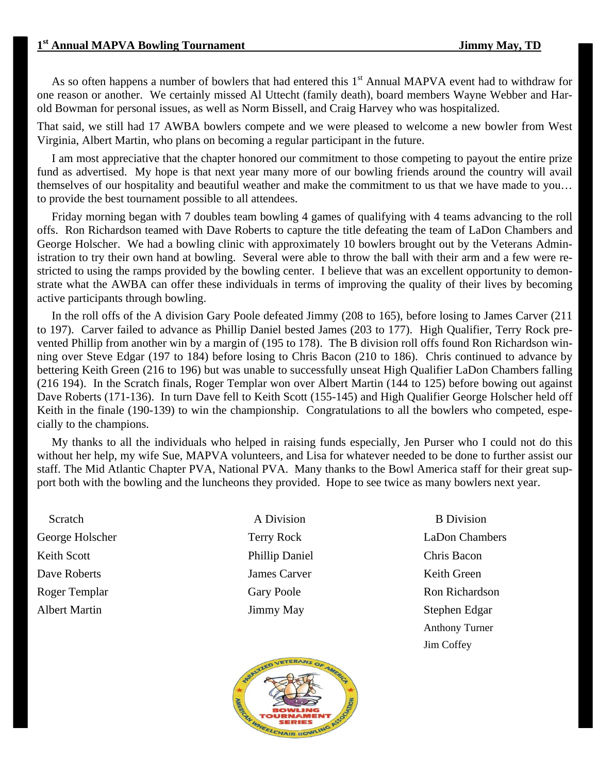As so often happens a number of bowlers that had entered this  $1<sup>st</sup>$  Annual MAPVA event had to withdraw for one reason or another. We certainly missed Al Uttecht (family death), board members Wayne Webber and Harold Bowman for personal issues, as well as Norm Bissell, and Craig Harvey who was hospitalized.

That said, we still had 17 AWBA bowlers compete and we were pleased to welcome a new bowler from West Virginia, Albert Martin, who plans on becoming a regular participant in the future.

 I am most appreciative that the chapter honored our commitment to those competing to payout the entire prize fund as advertised. My hope is that next year many more of our bowling friends around the country will avail themselves of our hospitality and beautiful weather and make the commitment to us that we have made to you… to provide the best tournament possible to all attendees.

 Friday morning began with 7 doubles team bowling 4 games of qualifying with 4 teams advancing to the roll offs. Ron Richardson teamed with Dave Roberts to capture the title defeating the team of LaDon Chambers and George Holscher. We had a bowling clinic with approximately 10 bowlers brought out by the Veterans Administration to try their own hand at bowling. Several were able to throw the ball with their arm and a few were restricted to using the ramps provided by the bowling center. I believe that was an excellent opportunity to demonstrate what the AWBA can offer these individuals in terms of improving the quality of their lives by becoming active participants through bowling.

 In the roll offs of the A division Gary Poole defeated Jimmy (208 to 165), before losing to James Carver (211 to 197). Carver failed to advance as Phillip Daniel bested James (203 to 177). High Qualifier, Terry Rock prevented Phillip from another win by a margin of (195 to 178). The B division roll offs found Ron Richardson winning over Steve Edgar (197 to 184) before losing to Chris Bacon (210 to 186). Chris continued to advance by bettering Keith Green (216 to 196) but was unable to successfully unseat High Qualifier LaDon Chambers falling (216 194). In the Scratch finals, Roger Templar won over Albert Martin (144 to 125) before bowing out against Dave Roberts (171-136). In turn Dave fell to Keith Scott (155-145) and High Qualifier George Holscher held off Keith in the finale (190-139) to win the championship. Congratulations to all the bowlers who competed, especially to the champions.

 My thanks to all the individuals who helped in raising funds especially, Jen Purser who I could not do this without her help, my wife Sue, MAPVA volunteers, and Lisa for whatever needed to be done to further assist our staff. The Mid Atlantic Chapter PVA, National PVA. Many thanks to the Bowl America staff for their great support both with the bowling and the luncheons they provided. Hope to see twice as many bowlers next year.

Scratch A Division B Division Keith Scott **Phillip Daniel** Chris Bacon Dave Roberts James Carver Keith Green Albert Martin **IIMMAX** Jimmy May Stephen Edgar



George Holscher Terry Rock LaDon Chambers Roger Templar Gary Poole Ron Richardson Anthony Turner Jim Coffey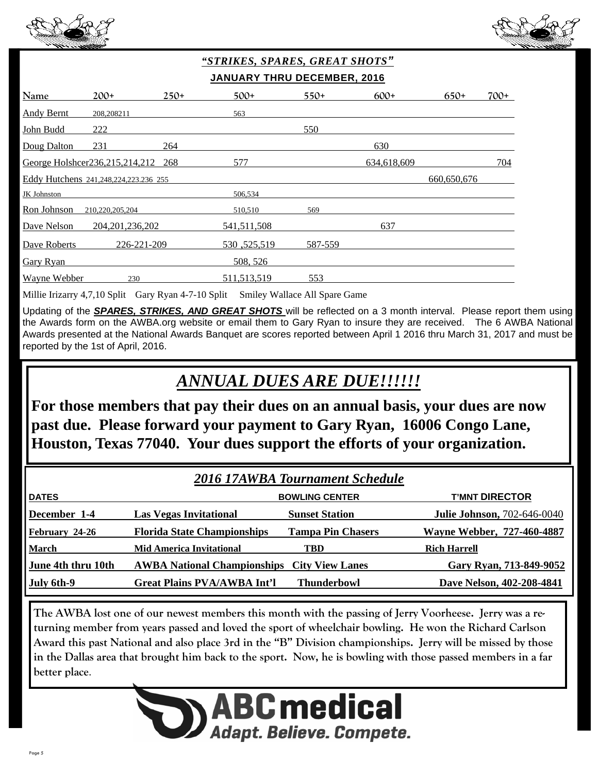



## *"STRIKES, SPARES, GREAT SHOTS"*  **JANUARY THRU DECEMBER, 2016**

| <b>Name</b>       | $200+$                                | $250+$ | $500+$        | $550+$  | $600+$      | $650+$      | $700+$ |
|-------------------|---------------------------------------|--------|---------------|---------|-------------|-------------|--------|
| <b>Andy Bernt</b> | 208,208211                            |        | 563           |         |             |             |        |
| John Budd         | 222                                   |        |               | 550     |             |             |        |
| Doug Dalton       | 231                                   | 264    |               |         | 630         |             |        |
|                   | George Holshcer236,215,214,212        | 268    | 577           |         | 634,618,609 |             | 704    |
|                   | Eddy Hutchens 241,248,224,223.236 255 |        |               |         |             | 660,650,676 |        |
| JK Johnston       |                                       |        | 506,534       |         |             |             |        |
| Ron Johnson       | 210,220,205,204                       |        | 510,510       | 569     |             |             |        |
| Dave Nelson       | 204, 201, 236, 202                    |        | 541,511,508   |         | 637         |             |        |
| Dave Roberts      | 226-221-209                           |        | 530, 525, 519 | 587-559 |             |             |        |
| <b>Gary Ryan</b>  |                                       |        | 508, 526      |         |             |             |        |
| Wayne Webber      | 230                                   |        | 511,513,519   | 553     |             |             |        |

Millie Irizarry 4,7,10 Split Gary Ryan 4-7-10 Split Smiley Wallace All Spare Game

Updating of the *SPARES, STRIKES, AND GREAT SHOTS* will be reflected on a 3 month interval. Please report them using the Awards form on the AWBA.org website or email them to Gary Ryan to insure they are received. The 6 AWBA National Awards presented at the National Awards Banquet are scores reported between April 1 2016 thru March 31, 2017 and must be reported by the 1st of April, 2016.

## *ANNUAL DUES ARE DUE!!!!!!*

**For those members that pay their dues on an annual basis, your dues are now past due. Please forward your payment to Gary Ryan, 16006 Congo Lane, Houston, Texas 77040. Your dues support the efforts of your organization.** 

| <b>2016 17AWBA Tournament Schedule</b> |                                                    |                          |                                    |  |
|----------------------------------------|----------------------------------------------------|--------------------------|------------------------------------|--|
| <b>DATES</b>                           |                                                    | <b>BOWLING CENTER</b>    | <b>T'MNT DIRECTOR</b>              |  |
| December 1-4                           | <b>Las Vegas Invitational</b>                      | <b>Sunset Station</b>    | <b>Julie Johnson, 702-646-0040</b> |  |
| February 24-26                         | <b>Florida State Championships</b>                 | <b>Tampa Pin Chasers</b> | <b>Wayne Webber, 727-460-4887</b>  |  |
| <b>March</b>                           | <b>Mid America Invitational</b>                    | <b>TBD</b>               | <b>Rich Harrell</b>                |  |
| June 4th thru 10th                     | <b>AWBA National Championships City View Lanes</b> |                          | Gary Ryan, 713-849-9052            |  |
| July 6th-9                             | <b>Great Plains PVA/AWBA Int'l</b>                 | <b>Thunderbowl</b>       | Dave Nelson, 402-208-4841          |  |

**The AWBA lost one of our newest members this month with the passing of Jerry Voorheese. Jerry was a returning member from years passed and loved the sport of wheelchair bowling. He won the Richard Carlson Award this past National and also place 3rd in the "B" Division championships. Jerry will be missed by those in the Dallas area that brought him back to the sport. Now, he is bowling with those passed members in a far better place**.

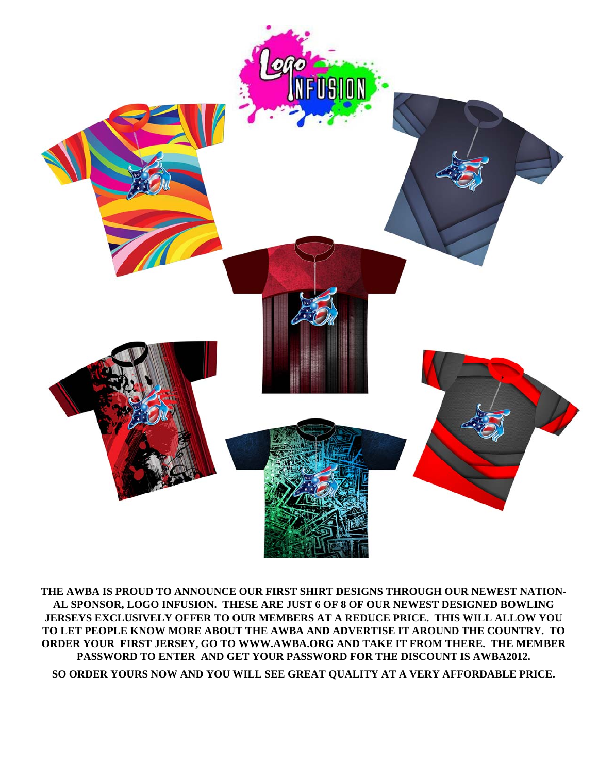

**THE AWBA IS PROUD TO ANNOUNCE OUR FIRST SHIRT DESIGNS THROUGH OUR NEWEST NATION-AL SPONSOR, LOGO INFUSION. THESE ARE JUST 6 OF 8 OF OUR NEWEST DESIGNED BOWLING JERSEYS EXCLUSIVELY OFFER TO OUR MEMBERS AT A REDUCE PRICE. THIS WILL ALLOW YOU TO LET PEOPLE KNOW MORE ABOUT THE AWBA AND ADVERTISE IT AROUND THE COUNTRY. TO ORDER YOUR FIRST JERSEY, GO TO WWW.AWBA.ORG AND TAKE IT FROM THERE. THE MEMBER PASSWORD TO ENTER AND GET YOUR PASSWORD FOR THE DISCOUNT IS AWBA2012.** 

**SO ORDER YOURS NOW AND YOU WILL SEE GREAT QUALITY AT A VERY AFFORDABLE PRICE.**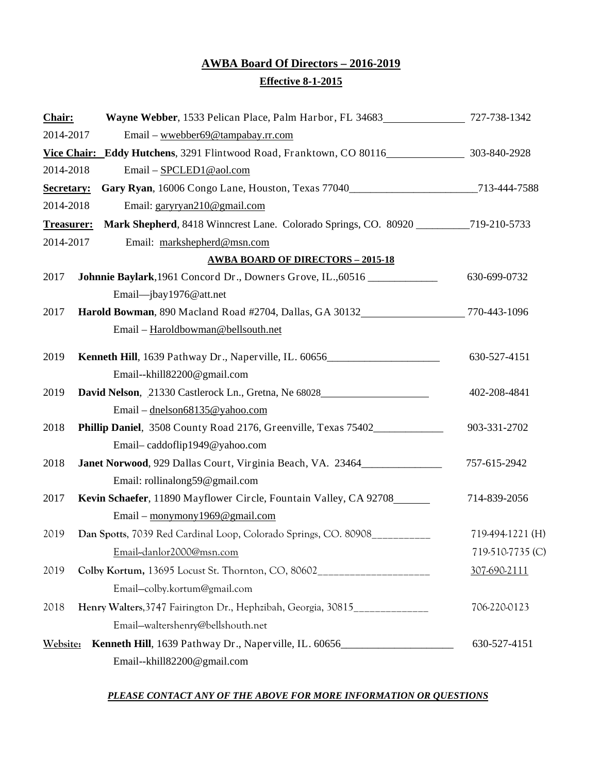## **AWBA Board Of Directors – 2016-2019 Effective 8-1-2015**

| Chair:            |                                                                                          |                  |
|-------------------|------------------------------------------------------------------------------------------|------------------|
| 2014-2017         | Email – wwebber69@tampabay.rr.com                                                        |                  |
|                   | Vice Chair: Eddy Hutchens, 3291 Flintwood Road, Franktown, CO 80116 303-840-2928         |                  |
| 2014-2018         | Email - SPCLED1@aol.com                                                                  |                  |
| Secretary:        | Gary Ryan, 16006 Congo Lane, Houston, Texas 77040___________________________713-444-7588 |                  |
| 2014-2018         | Email: garyryan210@gmail.com                                                             |                  |
| <b>Treasurer:</b> | Mark Shepherd, 8418 Winncrest Lane. Colorado Springs, CO. 80920 __________719-210-5733   |                  |
| 2014-2017         | Email: markshepherd@msn.com                                                              |                  |
|                   | <b>AWBA BOARD OF DIRECTORS - 2015-18</b>                                                 |                  |
| 2017              | Johnnie Baylark, 1961 Concord Dr., Downers Grove, IL., 60516 _____________               | 630-699-0732     |
|                   | Email-jbay1976@att.net                                                                   |                  |
| 2017              | Harold Bowman, 890 Macland Road #2704, Dallas, GA 30132 770-443-1096                     |                  |
|                   | Email - Haroldbowman@bellsouth.net                                                       |                  |
| 2019              |                                                                                          | 630-527-4151     |
|                   | Email--khill82200@gmail.com                                                              |                  |
| 2019              | David Nelson, 21330 Castlerock Ln., Gretna, Ne 68028                                     | 402-208-4841     |
|                   | Email - dnelson68135@yahoo.com                                                           |                  |
| 2018              | Phillip Daniel, 3508 County Road 2176, Greenville, Texas 75402                           | 903-331-2702     |
|                   | Email-caddoflip1949@yahoo.com                                                            |                  |
| 2018              | Janet Norwood, 929 Dallas Court, Virginia Beach, VA. 23464______________________         | 757-615-2942     |
|                   | Email: rollinalong59@gmail.com                                                           |                  |
| 2017              | Kevin Schaefer, 11890 Mayflower Circle, Fountain Valley, CA 92708                        | 714-839-2056     |
|                   | Email – monymony 1969@gmail.com                                                          |                  |
| 2019              | Dan Spotts, 7039 Red Cardinal Loop, Colorado Springs, CO. 80908                          | 719-494-1221 (H) |
|                   | Email-danlor2000@msn.com                                                                 | 719-510-7735 (C) |
| 2019              | Colby Kortum, 13695 Locust St. Thornton, CO, 80602_____________________                  | 307-690-2111     |
|                   | Email-colby.kortum@gmail.com                                                             |                  |
| 2018              | Henry Walters, 3747 Fairington Dr., Hephzibah, Georgia, 30815______________              | 706-220-0123     |
|                   | Email-waltershenry@bellshouth.net                                                        |                  |
| Website:          | Kenneth Hill, 1639 Pathway Dr., Naperville, IL. 60656____________________________        | 630-527-4151     |
|                   | Email--khill82200@gmail.com                                                              |                  |

#### *PLEASE CONTACT ANY OF THE ABOVE FOR MORE INFORMATION OR QUESTIONS*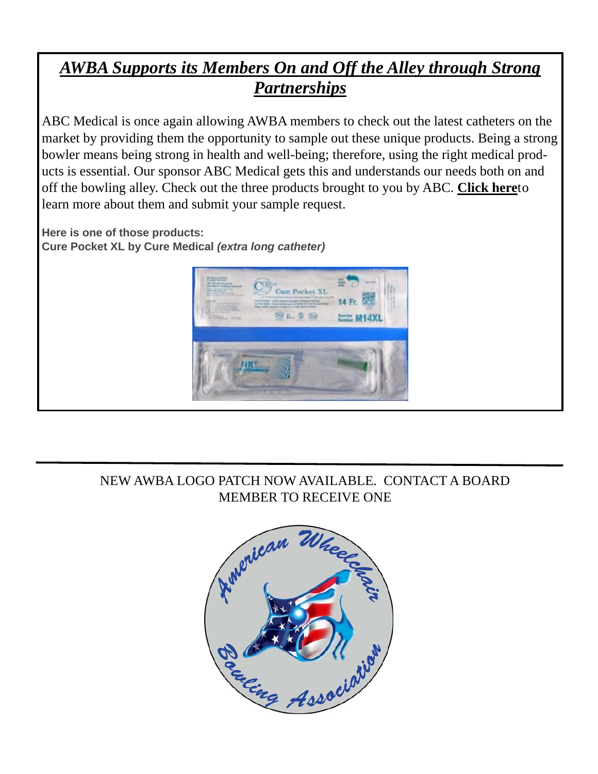## *AWBA Supports its Members On and Off the Alley through Strong Partnerships*

ABC Medical is once again allowing AWBA members to check out the latest catheters on the market by providing them the opportunity to sample out these unique products. Being a strong bowler means being strong in health and well-being; therefore, using the right medical products is essential. Our sponsor ABC Medical gets this and understands our needs both on and off the bowling alley. Check out the three products brought to you by ABC. **Click here**to learn more about them and submit your sample request.

**Here is one of those products: Cure Pocket XL by Cure Medical** *(extra long catheter)*



## NEW AWBA LOGO PATCH NOW AVAILABLE. CONTACT A BOARD MEMBER TO RECEIVE ONE

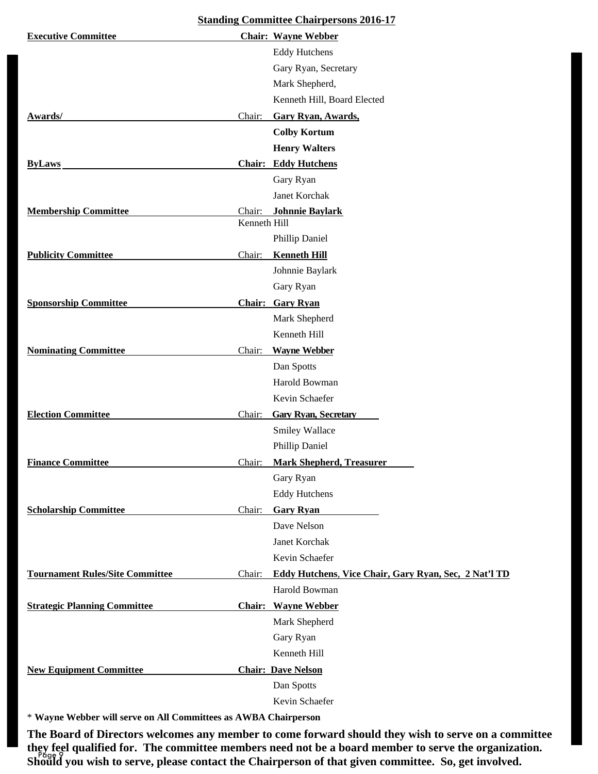| <b>Standing Committee Chairpersons 2016-17</b> |                                                                 |  |  |  |
|------------------------------------------------|-----------------------------------------------------------------|--|--|--|
| <b>Executive Committee</b>                     | <b>Chair: Wayne Webber</b>                                      |  |  |  |
|                                                | <b>Eddy Hutchens</b>                                            |  |  |  |
|                                                | Gary Ryan, Secretary                                            |  |  |  |
|                                                | Mark Shepherd,                                                  |  |  |  |
|                                                | Kenneth Hill, Board Elected                                     |  |  |  |
| Awards/                                        | <b>Gary Ryan, Awards,</b><br>Chair:                             |  |  |  |
|                                                | <b>Colby Kortum</b>                                             |  |  |  |
|                                                | <b>Henry Walters</b>                                            |  |  |  |
| <b>ByLaws</b>                                  | <b>Chair: Eddy Hutchens</b>                                     |  |  |  |
|                                                | Gary Ryan                                                       |  |  |  |
|                                                | Janet Korchak                                                   |  |  |  |
| <b>Membership Committee</b>                    | <b>Johnnie Baylark</b><br>Chair:                                |  |  |  |
|                                                | Kenneth Hill                                                    |  |  |  |
|                                                | Phillip Daniel                                                  |  |  |  |
| <b>Publicity Committee</b>                     | <b>Kenneth Hill</b><br>Chair:                                   |  |  |  |
|                                                | Johnnie Baylark                                                 |  |  |  |
|                                                | Gary Ryan                                                       |  |  |  |
| <b>Sponsorship Committee</b>                   | <b>Chair: Gary Ryan</b>                                         |  |  |  |
|                                                | Mark Shepherd                                                   |  |  |  |
|                                                | Kenneth Hill                                                    |  |  |  |
| <b>Nominating Committee</b>                    | <b>Wayne Webber</b><br>Chair:                                   |  |  |  |
|                                                | Dan Spotts                                                      |  |  |  |
|                                                | Harold Bowman                                                   |  |  |  |
|                                                | Kevin Schaefer                                                  |  |  |  |
| <b>Election Committee</b>                      | <b>Gary Ryan, Secretary</b><br>Chair:                           |  |  |  |
|                                                | Smiley Wallace                                                  |  |  |  |
|                                                | Phillip Daniel                                                  |  |  |  |
| <b>Finance Committee</b>                       | <b>Mark Shepherd, Treasurer</b><br>Chair:                       |  |  |  |
|                                                | Gary Ryan                                                       |  |  |  |
|                                                | <b>Eddy Hutchens</b>                                            |  |  |  |
| <b>Scholarship Committee</b>                   | Chair:<br><b>Gary Ryan</b>                                      |  |  |  |
|                                                | Dave Nelson                                                     |  |  |  |
|                                                | Janet Korchak                                                   |  |  |  |
|                                                | Kevin Schaefer                                                  |  |  |  |
| <b>Tournament Rules/Site Committee</b>         | Eddy Hutchens, Vice Chair, Gary Ryan, Sec, 2 Nat'l TD<br>Chair: |  |  |  |
|                                                | Harold Bowman                                                   |  |  |  |
| <b>Strategic Planning Committee</b>            | <b>Chair:</b> Wayne Webber                                      |  |  |  |
|                                                | Mark Shepherd                                                   |  |  |  |
|                                                | Gary Ryan                                                       |  |  |  |
|                                                | Kenneth Hill                                                    |  |  |  |
| <b>New Equipment Committee</b>                 | <b>Chair: Dave Nelson</b>                                       |  |  |  |
|                                                | Dan Spotts                                                      |  |  |  |
|                                                | Kevin Schaefer                                                  |  |  |  |

\* **Wayne Webber will serve on All Committees as AWBA Chairperson**

Page 9 **they feel qualified for. The committee members need not be a board member to serve the organization. The Board of Directors welcomes any member to come forward should they wish to serve on a committee Should you wish to serve, please contact the Chairperson of that given committee. So, get involved.**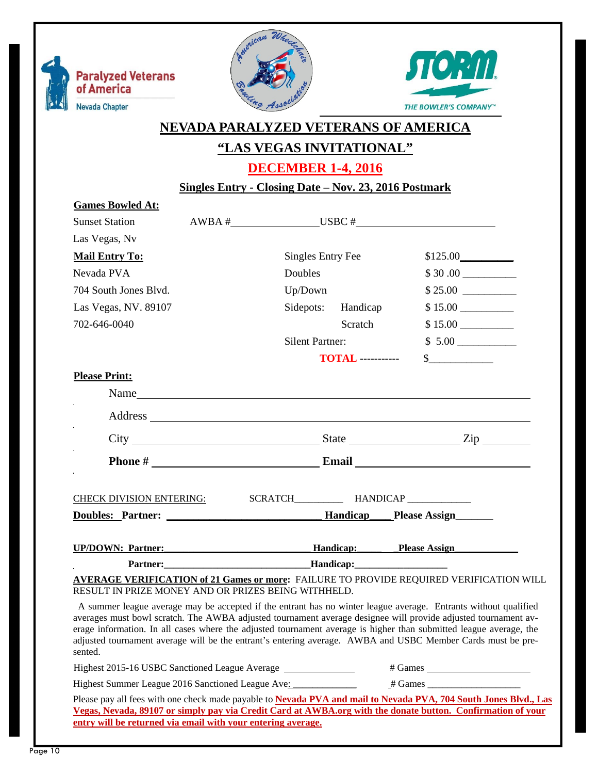





## **NEVADA PARALYZED VETERANS OF AMERICA**

## **"LAS VEGAS INVITATIONAL"**

**DECEMBER 1-4, 2016** 

**Singles Entry - Closing Date – Nov. 23, 2016 Postmark** 

| <b>Games Bowled At:</b>                             |                                |                        |                          |                                                                                                                                                                                                                                                                                                                                                                                                                                                                        |
|-----------------------------------------------------|--------------------------------|------------------------|--------------------------|------------------------------------------------------------------------------------------------------------------------------------------------------------------------------------------------------------------------------------------------------------------------------------------------------------------------------------------------------------------------------------------------------------------------------------------------------------------------|
| <b>Sunset Station</b>                               |                                |                        |                          | $\bf{A} WBA \#$ USBC #                                                                                                                                                                                                                                                                                                                                                                                                                                                 |
| Las Vegas, Nv                                       |                                |                        |                          |                                                                                                                                                                                                                                                                                                                                                                                                                                                                        |
| <b>Mail Entry To:</b>                               |                                | Singles Entry Fee      |                          | \$125.00                                                                                                                                                                                                                                                                                                                                                                                                                                                               |
| Nevada PVA                                          |                                | Doubles                |                          |                                                                                                                                                                                                                                                                                                                                                                                                                                                                        |
| 704 South Jones Blvd.                               |                                | Up/Down                |                          | \$25.00                                                                                                                                                                                                                                                                                                                                                                                                                                                                |
| Las Vegas, NV. 89107                                |                                | Sidepots:              | Handicap                 | \$15.00                                                                                                                                                                                                                                                                                                                                                                                                                                                                |
| 702-646-0040                                        |                                |                        | Scratch                  | $$15.00$                                                                                                                                                                                                                                                                                                                                                                                                                                                               |
|                                                     |                                | <b>Silent Partner:</b> |                          |                                                                                                                                                                                                                                                                                                                                                                                                                                                                        |
|                                                     |                                |                        | <b>TOTAL</b> ----------- | $\frac{\S_{\frac{1}{2}}}{\S_{\frac{1}{2}}}{\S_{\frac{1}{2}}}{\S_{\frac{1}{2}}}{\S_{\frac{1}{2}}}{\S_{\frac{1}{2}}}{\S_{\frac{1}{2}}}{\S_{\frac{1}{2}}}{\S_{\frac{1}{2}}}{\S_{\frac{1}{2}}}{\S_{\frac{1}{2}}}{\S_{\frac{1}{2}}}{\S_{\frac{1}{2}}}{\S_{\frac{1}{2}}}{\S_{\frac{1}{2}}}{\S_{\frac{1}{2}}}{\S_{\frac{1}{2}}}{\S_{\frac{1}{2}}}{\S_{\frac{1}{2}}}{\S_{\frac{1}{2$                                                                                           |
| <b>Please Print:</b>                                |                                |                        |                          |                                                                                                                                                                                                                                                                                                                                                                                                                                                                        |
|                                                     |                                |                        |                          |                                                                                                                                                                                                                                                                                                                                                                                                                                                                        |
|                                                     |                                |                        |                          |                                                                                                                                                                                                                                                                                                                                                                                                                                                                        |
|                                                     |                                |                        |                          |                                                                                                                                                                                                                                                                                                                                                                                                                                                                        |
|                                                     |                                |                        |                          |                                                                                                                                                                                                                                                                                                                                                                                                                                                                        |
|                                                     |                                |                        |                          |                                                                                                                                                                                                                                                                                                                                                                                                                                                                        |
| <b>CHECK DIVISION ENTERING:</b>                     |                                |                        |                          |                                                                                                                                                                                                                                                                                                                                                                                                                                                                        |
|                                                     |                                |                        |                          |                                                                                                                                                                                                                                                                                                                                                                                                                                                                        |
|                                                     |                                |                        |                          |                                                                                                                                                                                                                                                                                                                                                                                                                                                                        |
|                                                     |                                |                        |                          | UP/DOWN: Partner: The Mandicap: Please Assign                                                                                                                                                                                                                                                                                                                                                                                                                          |
|                                                     | Partner: Flandicap: Flandicap: |                        |                          |                                                                                                                                                                                                                                                                                                                                                                                                                                                                        |
| RESULT IN PRIZE MONEY AND OR PRIZES BEING WITHHELD. |                                |                        |                          | <b>AVERAGE VERIFICATION of 21 Games or more: FAILURE TO PROVIDE REQUIRED VERIFICATION WILL</b>                                                                                                                                                                                                                                                                                                                                                                         |
| sented.                                             |                                |                        |                          | A summer league average may be accepted if the entrant has no winter league average. Entrants without qualified<br>averages must bowl scratch. The AWBA adjusted tournament average designee will provide adjusted tournament av-<br>erage information. In all cases where the adjusted tournament average is higher than submitted league average, the<br>adjusted tournament average will be the entrant's entering average. AWBA and USBC Member Cards must be pre- |

Highest 2015-16 USBC Sanctioned League Average \_\_\_\_\_\_\_\_\_\_\_\_\_\_\_\_\_ # Games \_\_\_\_\_\_\_\_\_\_\_\_\_

Highest Summer League 2016 Sanctioned League Ave: \_\_\_\_\_\_\_\_\_\_\_\_\_\_\_ # Games \_\_\_\_\_\_\_

Please pay all fees with one check made payable to **Nevada PVA and mail to Nevada PVA, 704 South Jones Blvd., Las Vegas, Nevada, 89107 or simply pay via Credit Card at AWBA.org with the donate button. Confirmation of your entry will be returned via email with your entering average.**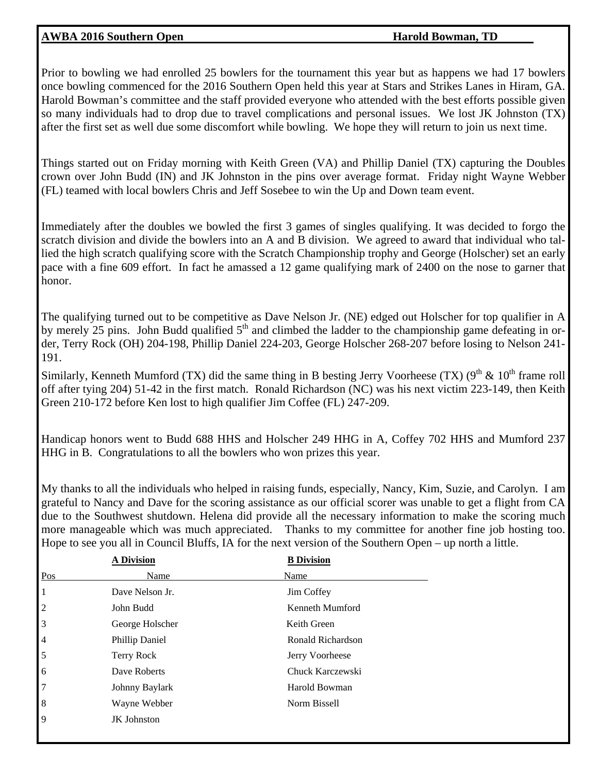#### AWBA 2016 Southern Open **Harold Bowman, TD**

Prior to bowling we had enrolled 25 bowlers for the tournament this year but as happens we had 17 bowlers once bowling commenced for the 2016 Southern Open held this year at Stars and Strikes Lanes in Hiram, GA. Harold Bowman's committee and the staff provided everyone who attended with the best efforts possible given so many individuals had to drop due to travel complications and personal issues. We lost JK Johnston (TX) after the first set as well due some discomfort while bowling. We hope they will return to join us next time.

Things started out on Friday morning with Keith Green (VA) and Phillip Daniel (TX) capturing the Doubles crown over John Budd (IN) and JK Johnston in the pins over average format. Friday night Wayne Webber (FL) teamed with local bowlers Chris and Jeff Sosebee to win the Up and Down team event.

Immediately after the doubles we bowled the first 3 games of singles qualifying. It was decided to forgo the scratch division and divide the bowlers into an A and B division. We agreed to award that individual who tallied the high scratch qualifying score with the Scratch Championship trophy and George (Holscher) set an early pace with a fine 609 effort. In fact he amassed a 12 game qualifying mark of 2400 on the nose to garner that honor.

The qualifying turned out to be competitive as Dave Nelson Jr. (NE) edged out Holscher for top qualifier in A by merely 25 pins. John Budd qualified  $5<sup>th</sup>$  and climbed the ladder to the championship game defeating in order, Terry Rock (OH) 204-198, Phillip Daniel 224-203, George Holscher 268-207 before losing to Nelson 241- 191.

Similarly, Kenneth Mumford (TX) did the same thing in B besting Jerry Voorheese (TX) ( $9<sup>th</sup>$  &  $10<sup>th</sup>$  frame roll off after tying 204) 51-42 in the first match. Ronald Richardson (NC) was his next victim 223-149, then Keith Green 210-172 before Ken lost to high qualifier Jim Coffee (FL) 247-209.

Handicap honors went to Budd 688 HHS and Holscher 249 HHG in A, Coffey 702 HHS and Mumford 237 HHG in B. Congratulations to all the bowlers who won prizes this year.

My thanks to all the individuals who helped in raising funds, especially, Nancy, Kim, Suzie, and Carolyn. I am grateful to Nancy and Dave for the scoring assistance as our official scorer was unable to get a flight from CA due to the Southwest shutdown. Helena did provide all the necessary information to make the scoring much more manageable which was much appreciated. Thanks to my committee for another fine job hosting too. Hope to see you all in Council Bluffs, IA for the next version of the Southern Open – up north a little.

|                | <b>A Division</b>  | <b>B</b> Division |
|----------------|--------------------|-------------------|
| Pos            | Name               | Name              |
| 1              | Dave Nelson Jr.    | Jim Coffey        |
| $\sqrt{2}$     | John Budd          | Kenneth Mumford   |
| $\vert$ 3      | George Holscher    | Keith Green       |
| $\overline{4}$ | Phillip Daniel     | Ronald Richardson |
| $\overline{5}$ | Terry Rock         | Jerry Voorheese   |
| $\vert 6$      | Dave Roberts       | Chuck Karczewski  |
| $\sqrt{7}$     | Johnny Baylark     | Harold Bowman     |
| $\vert 8$      | Wayne Webber       | Norm Bissell      |
| $\vert$ 9      | <b>JK</b> Johnston |                   |
|                |                    |                   |